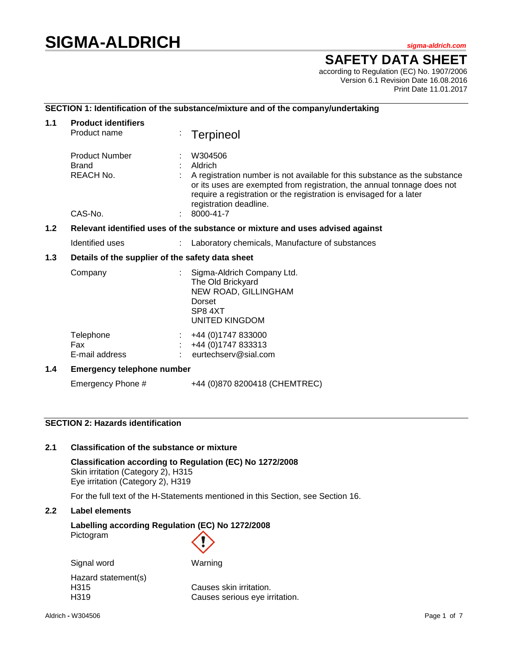# **SIGMA-ALDRICH** *sigma-aldrich.com*

# **SAFETY DATA SHEET**

according to Regulation (EC) No. 1907/2006 Version 6.1 Revision Date 16.08.2016 Print Date 11.01.2017

## **SECTION 1: Identification of the substance/mixture and of the company/undertaking**

| 1.1 | <b>Product identifiers</b><br>Product name                                    |  | <b>Terpineol</b>                                                                                                                                                                                                                                                             |  |
|-----|-------------------------------------------------------------------------------|--|------------------------------------------------------------------------------------------------------------------------------------------------------------------------------------------------------------------------------------------------------------------------------|--|
|     | <b>Product Number</b><br>Brand<br>REACH No.                                   |  | W304506<br>Aldrich<br>A registration number is not available for this substance as the substance<br>or its uses are exempted from registration, the annual tonnage does not<br>require a registration or the registration is envisaged for a later<br>registration deadline. |  |
|     | CAS-No.                                                                       |  | 8000-41-7                                                                                                                                                                                                                                                                    |  |
| 1.2 | Relevant identified uses of the substance or mixture and uses advised against |  |                                                                                                                                                                                                                                                                              |  |
|     | Identified uses                                                               |  | Laboratory chemicals, Manufacture of substances                                                                                                                                                                                                                              |  |
| 1.3 | Details of the supplier of the safety data sheet                              |  |                                                                                                                                                                                                                                                                              |  |
|     | Company                                                                       |  | Sigma-Aldrich Company Ltd.<br>The Old Brickyard<br>NEW ROAD, GILLINGHAM<br>Dorset<br>SP8 4XT<br>UNITED KINGDOM                                                                                                                                                               |  |
|     | Telephone<br>Fax<br>E-mail address                                            |  | +44 (0) 1747 833000<br>+44 (0) 1747 833313<br>eurtechserv@sial.com                                                                                                                                                                                                           |  |
| 1.4 | <b>Emergency telephone number</b>                                             |  |                                                                                                                                                                                                                                                                              |  |
|     | Emergency Phone #                                                             |  | +44 (0)870 8200418 (CHEMTREC)                                                                                                                                                                                                                                                |  |

# **SECTION 2: Hazards identification**

#### **2.1 Classification of the substance or mixture**

**Classification according to Regulation (EC) No 1272/2008** Skin irritation (Category 2), H315 Eye irritation (Category 2), H319

For the full text of the H-Statements mentioned in this Section, see Section 16.

### **2.2 Label elements**

# **Labelling according Regulation (EC) No 1272/2008** Pictogram

| Signal word         | Warning                        |
|---------------------|--------------------------------|
| Hazard statement(s) |                                |
| H315                | Causes skin irritation.        |
| H <sub>3</sub> 19   | Causes serious eye irritation. |
|                     |                                |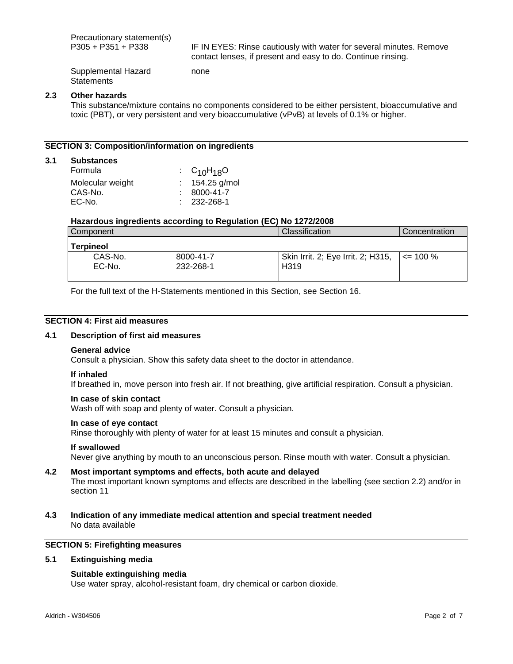Precautionary statement(s)<br>P305 + P351 + P338

IF IN EYES: Rinse cautiously with water for several minutes. Remove contact lenses, if present and easy to do. Continue rinsing.

Supplemental Hazard **Statements** 

#### **2.3 Other hazards**

**3.1 Substances**

This substance/mixture contains no components considered to be either persistent, bioaccumulative and toxic (PBT), or very persistent and very bioaccumulative (vPvB) at levels of 0.1% or higher.

#### **SECTION 3: Composition/information on ingredients**

| <b>Substances</b> |                   |                  |
|-------------------|-------------------|------------------|
| Formula           | : $C_{10}H_{18}O$ |                  |
| Molecular weight  |                   | : $154.25$ g/mol |
| CAS-No.           |                   | 8000-41-7        |
| EC-No.            | $: 232 - 268 - 1$ |                  |

#### **Hazardous ingredients according to Regulation (EC) No 1272/2008**

none

| Component         |                        | Classification                                         | Concentration |
|-------------------|------------------------|--------------------------------------------------------|---------------|
| Terpineol         |                        |                                                        |               |
| CAS-No.<br>EC-No. | 8000-41-7<br>232-268-1 | Skin Irrit. 2; Eye Irrit. 2; H315,<br>H <sub>319</sub> | $\leq$ 100 %  |

For the full text of the H-Statements mentioned in this Section, see Section 16.

### **SECTION 4: First aid measures**

#### **4.1 Description of first aid measures**

#### **General advice**

Consult a physician. Show this safety data sheet to the doctor in attendance.

#### **If inhaled**

If breathed in, move person into fresh air. If not breathing, give artificial respiration. Consult a physician.

#### **In case of skin contact**

Wash off with soap and plenty of water. Consult a physician.

#### **In case of eye contact**

Rinse thoroughly with plenty of water for at least 15 minutes and consult a physician.

#### **If swallowed**

Never give anything by mouth to an unconscious person. Rinse mouth with water. Consult a physician.

## **4.2 Most important symptoms and effects, both acute and delayed** The most important known symptoms and effects are described in the labelling (see section 2.2) and/or in section 11

**4.3 Indication of any immediate medical attention and special treatment needed** No data available

# **SECTION 5: Firefighting measures**

#### **5.1 Extinguishing media**

#### **Suitable extinguishing media**

Use water spray, alcohol-resistant foam, dry chemical or carbon dioxide.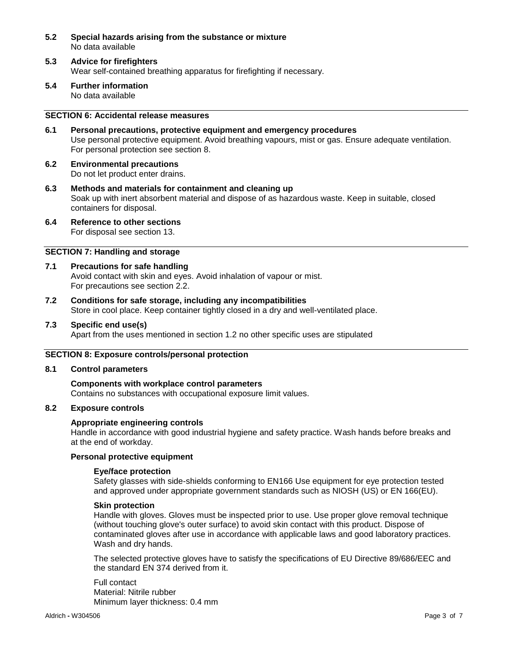- **5.2 Special hazards arising from the substance or mixture** No data available
- **5.3 Advice for firefighters** Wear self-contained breathing apparatus for firefighting if necessary.
- **5.4 Further information** No data available

## **SECTION 6: Accidental release measures**

- **6.1 Personal precautions, protective equipment and emergency procedures** Use personal protective equipment. Avoid breathing vapours, mist or gas. Ensure adequate ventilation. For personal protection see section 8.
- **6.2 Environmental precautions** Do not let product enter drains.
- **6.3 Methods and materials for containment and cleaning up** Soak up with inert absorbent material and dispose of as hazardous waste. Keep in suitable, closed containers for disposal.
- **6.4 Reference to other sections** For disposal see section 13.

### **SECTION 7: Handling and storage**

- **7.1 Precautions for safe handling** Avoid contact with skin and eyes. Avoid inhalation of vapour or mist. For precautions see section 2.2.
- **7.2 Conditions for safe storage, including any incompatibilities** Store in cool place. Keep container tightly closed in a dry and well-ventilated place.
- **7.3 Specific end use(s)**

Apart from the uses mentioned in section 1.2 no other specific uses are stipulated

#### **SECTION 8: Exposure controls/personal protection**

#### **8.1 Control parameters**

**Components with workplace control parameters** Contains no substances with occupational exposure limit values.

#### **8.2 Exposure controls**

#### **Appropriate engineering controls**

Handle in accordance with good industrial hygiene and safety practice. Wash hands before breaks and at the end of workday.

#### **Personal protective equipment**

#### **Eye/face protection**

Safety glasses with side-shields conforming to EN166 Use equipment for eye protection tested and approved under appropriate government standards such as NIOSH (US) or EN 166(EU).

#### **Skin protection**

Handle with gloves. Gloves must be inspected prior to use. Use proper glove removal technique (without touching glove's outer surface) to avoid skin contact with this product. Dispose of contaminated gloves after use in accordance with applicable laws and good laboratory practices. Wash and dry hands.

The selected protective gloves have to satisfy the specifications of EU Directive 89/686/EEC and the standard EN 374 derived from it.

Full contact Material: Nitrile rubber Minimum layer thickness: 0.4 mm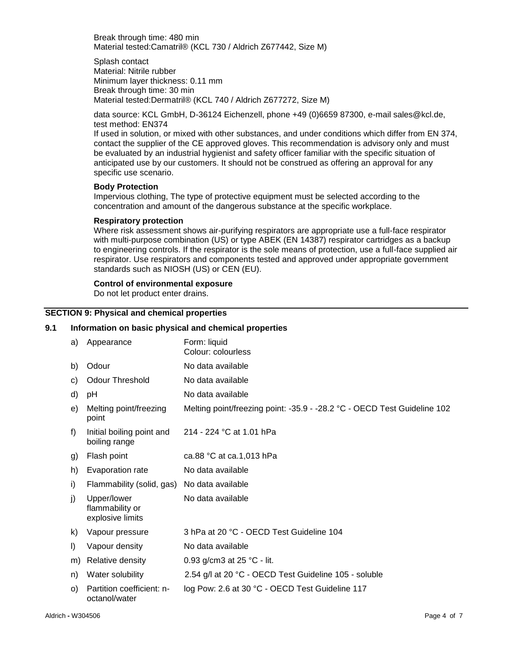Break through time: 480 min Material tested:Camatril® (KCL 730 / Aldrich Z677442, Size M)

Splash contact Material: Nitrile rubber Minimum layer thickness: 0.11 mm Break through time: 30 min Material tested:Dermatril® (KCL 740 / Aldrich Z677272, Size M)

data source: KCL GmbH, D-36124 Eichenzell, phone +49 (0)6659 87300, e-mail sales@kcl.de, test method: EN374

If used in solution, or mixed with other substances, and under conditions which differ from EN 374, contact the supplier of the CE approved gloves. This recommendation is advisory only and must be evaluated by an industrial hygienist and safety officer familiar with the specific situation of anticipated use by our customers. It should not be construed as offering an approval for any specific use scenario.

#### **Body Protection**

Impervious clothing, The type of protective equipment must be selected according to the concentration and amount of the dangerous substance at the specific workplace.

#### **Respiratory protection**

Where risk assessment shows air-purifying respirators are appropriate use a full-face respirator with multi-purpose combination (US) or type ABEK (EN 14387) respirator cartridges as a backup to engineering controls. If the respirator is the sole means of protection, use a full-face supplied air respirator. Use respirators and components tested and approved under appropriate government standards such as NIOSH (US) or CEN (EU).

#### **Control of environmental exposure**

Do not let product enter drains.

#### **SECTION 9: Physical and chemical properties**

#### **9.1 Information on basic physical and chemical properties**

| a)      | Appearance                                         | Form: liquid                                                             |
|---------|----------------------------------------------------|--------------------------------------------------------------------------|
|         |                                                    | Colour: colourless                                                       |
| b)      | Odour                                              | No data available                                                        |
| C)      | <b>Odour Threshold</b>                             | No data available                                                        |
| d)      | рH                                                 | No data available                                                        |
| e)      | Melting point/freezing<br>point                    | Melting point/freezing point: -35.9 - -28.2 °C - OECD Test Guideline 102 |
| f)      | Initial boiling point and<br>boiling range         | 214 - 224 °C at 1.01 hPa                                                 |
| g)      | Flash point                                        | ca.88 °C at ca.1,013 hPa                                                 |
| h)      | Evaporation rate                                   | No data available                                                        |
| i)      | Flammability (solid, gas) No data available        |                                                                          |
| j)      | Upper/lower<br>flammability or<br>explosive limits | No data available                                                        |
| k)      | Vapour pressure                                    | 3 hPa at 20 °C - OECD Test Guideline 104                                 |
| I)      | Vapour density                                     | No data available                                                        |
| m)      | Relative density                                   | 0.93 g/cm3 at 25 °C - lit.                                               |
| n)      | Water solubility                                   | 2.54 g/l at 20 °C - OECD Test Guideline 105 - soluble                    |
| $\circ$ | Partition coefficient: n-<br>octanol/water         | log Pow: 2.6 at 30 °C - OECD Test Guideline 117                          |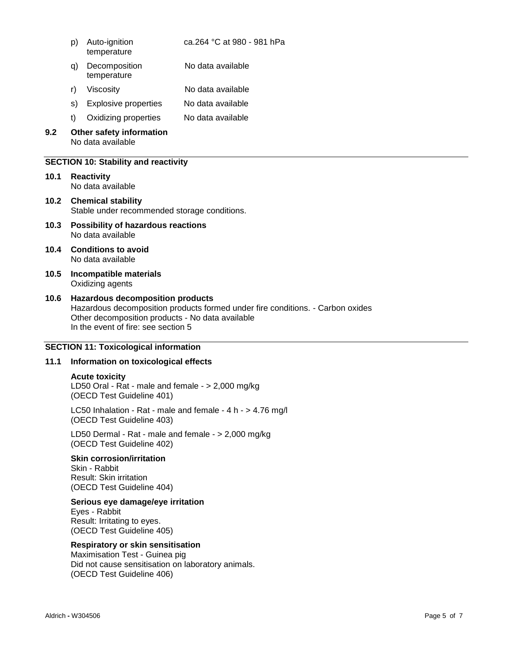| p) Auto-ignition | ca.264 °C at 980 - 981 hPa |
|------------------|----------------------------|
| temperature      |                            |

- q) Decomposition temperature No data available
- r) Viscosity No data available
- s) Explosive properties No data available
- t) Oxidizing properties No data available

#### **9.2 Other safety information** No data available

#### **SECTION 10: Stability and reactivity**

- **10.1 Reactivity** No data available
- **10.2 Chemical stability** Stable under recommended storage conditions.
- **10.3 Possibility of hazardous reactions** No data available
- **10.4 Conditions to avoid** No data available
- **10.5 Incompatible materials** Oxidizing agents

#### **10.6 Hazardous decomposition products** Hazardous decomposition products formed under fire conditions. - Carbon oxides Other decomposition products - No data available In the event of fire: see section 5

#### **SECTION 11: Toxicological information**

### **11.1 Information on toxicological effects**

#### **Acute toxicity**

LD50 Oral - Rat - male and female - > 2,000 mg/kg (OECD Test Guideline 401)

LC50 Inhalation - Rat - male and female - 4 h - > 4.76 mg/l (OECD Test Guideline 403)

LD50 Dermal - Rat - male and female - > 2,000 mg/kg (OECD Test Guideline 402)

#### **Skin corrosion/irritation**

Skin - Rabbit Result: Skin irritation (OECD Test Guideline 404)

#### **Serious eye damage/eye irritation**

Eyes - Rabbit Result: Irritating to eyes. (OECD Test Guideline 405)

#### **Respiratory or skin sensitisation**

Maximisation Test - Guinea pig Did not cause sensitisation on laboratory animals. (OECD Test Guideline 406)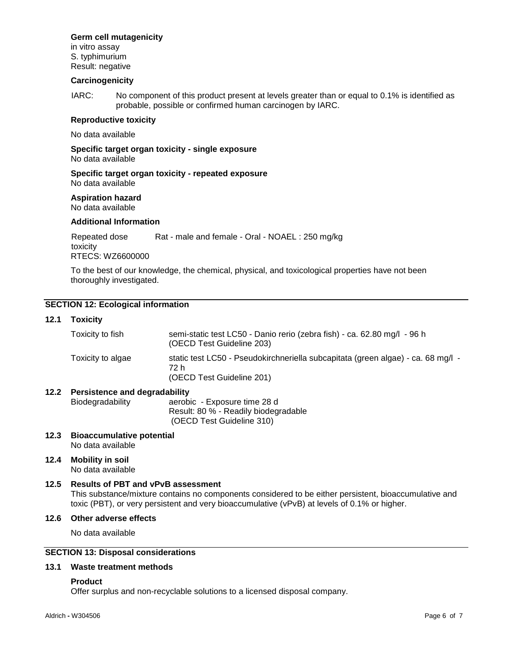## **Germ cell mutagenicity**

in vitro assay S. typhimurium Result: negative

#### **Carcinogenicity**

IARC: No component of this product present at levels greater than or equal to 0.1% is identified as probable, possible or confirmed human carcinogen by IARC.

#### **Reproductive toxicity**

No data available

**Specific target organ toxicity - single exposure** No data available

**Specific target organ toxicity - repeated exposure** No data available

#### **Aspiration hazard**

No data available

#### **Additional Information**

Repeated dose toxicity Rat - male and female - Oral - NOAEL : 250 mg/kg RTECS: WZ6600000

To the best of our knowledge, the chemical, physical, and toxicological properties have not been thoroughly investigated.

## **SECTION 12: Ecological information**

#### **12.1 Toxicity**

| Toxicity to fish  | semi-static test LC50 - Danio rerio (zebra fish) - ca. 62.80 mg/l - 96 h<br>(OECD Test Guideline 203)                 |
|-------------------|-----------------------------------------------------------------------------------------------------------------------|
| Toxicity to algae | static test LC50 - Pseudokirchneriella subcapitata (green algae) - ca. 68 mg/l -<br>72 h<br>(OECD Test Guideline 201) |

#### **12.2 Persistence and degradability**

Biodegradability aerobic - Exposure time 28 d Result: 80 % - Readily biodegradable (OECD Test Guideline 310)

- **12.3 Bioaccumulative potential** No data available
- **12.4 Mobility in soil** No data available

#### **12.5 Results of PBT and vPvB assessment** This substance/mixture contains no components considered to be either persistent, bioaccumulative and toxic (PBT), or very persistent and very bioaccumulative (vPvB) at levels of 0.1% or higher.

#### **12.6 Other adverse effects**

No data available

### **SECTION 13: Disposal considerations**

#### **13.1 Waste treatment methods**

#### **Product**

Offer surplus and non-recyclable solutions to a licensed disposal company.